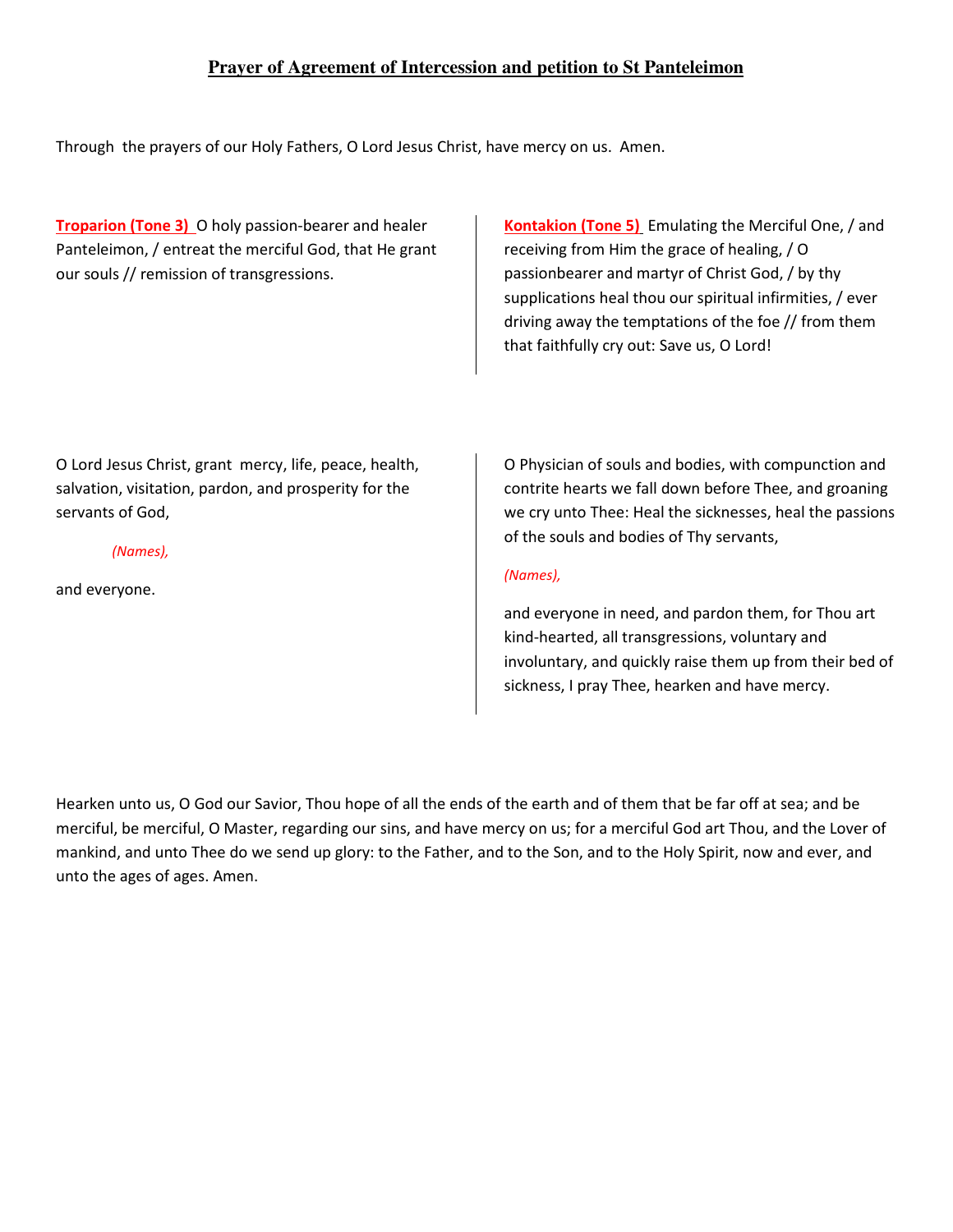# **Prayer of Agreement of Intercession and petition to St Panteleimon**

Through the prayers of our Holy Fathers, O Lord Jesus Christ, have mercy on us. Amen.

**Troparion (Tone 3)** O holy passion-bearer and healer Panteleimon, / entreat the merciful God, that He grant our souls // remission of transgressions.

**Kontakion (Tone 5)** Emulating the Merciful One, / and receiving from Him the grace of healing, / O passionbearer and martyr of Christ God, / by thy supplications heal thou our spiritual infirmities, / ever driving away the temptations of the foe // from them that faithfully cry out: Save us, O Lord!

O Lord Jesus Christ, grant mercy, life, peace, health, salvation, visitation, pardon, and prosperity for the servants of God,

*(Names),* 

and everyone.

O Physician of souls and bodies, with compunction and contrite hearts we fall down before Thee, and groaning we cry unto Thee: Heal the sicknesses, heal the passions of the souls and bodies of Thy servants,

# *(Names),*

and everyone in need, and pardon them, for Thou art kind-hearted, all transgressions, voluntary and involuntary, and quickly raise them up from their bed of sickness, I pray Thee, hearken and have mercy.

Hearken unto us, O God our Savior, Thou hope of all the ends of the earth and of them that be far off at sea; and be merciful, be merciful, O Master, regarding our sins, and have mercy on us; for a merciful God art Thou, and the Lover of mankind, and unto Thee do we send up glory: to the Father, and to the Son, and to the Holy Spirit, now and ever, and unto the ages of ages. Amen.